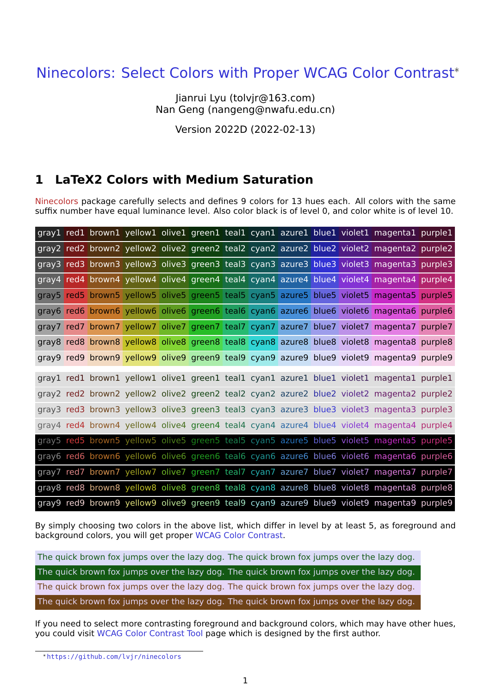# Ninecolors: Select Colors with Proper WCAG Color Contrast\*

Jianrui Lyu (tolvjr@163.com) Nan Geng (nangeng@nwafu.edu.cn)

Version 2022D (2022-02-13)

## **1 LaTeX2 Colors with Medium Saturation**

Ninecolors package carefully selects and defines 9 colors for 13 hues each. All colors with the same suffix number have equal luminance level. Also color black is of level 0, and color white is of level 10.

|  |  |  |  |  | gray1 red1 brown1 yellow1 olive1 green1 teal1 cyan1 azure1 blue1 violet1 magenta1 purple1 |  |
|--|--|--|--|--|-------------------------------------------------------------------------------------------|--|
|  |  |  |  |  | gray2 red2 brown2 yellow2 olive2 green2 teal2 cyan2 azure2 blue2 violet2 magenta2 purple2 |  |
|  |  |  |  |  | gray3 red3 brown3 yellow3 olive3 green3 teal3 cyan3 azure3 blue3 violet3 magenta3 purple3 |  |
|  |  |  |  |  | gray4 red4 brown4 yellow4 olive4 green4 teal4 cyan4 azure4 blue4 violet4 magenta4 purple4 |  |
|  |  |  |  |  | gray5 red5 brown5 yellow5 olive5 green5 teal5 cyan5 azure5 blue5 violet5 magenta5 purple5 |  |
|  |  |  |  |  | gray6 red6 brown6 yellow6 olive6 green6 teal6 cyan6 azure6 blue6 violet6 magenta6 purple6 |  |
|  |  |  |  |  | gray7 red7 brown7 yellow7 olive7 green7 teal7 cyan7 azure7 blue7 violet7 magenta7 purple7 |  |
|  |  |  |  |  | gray8 red8 brown8 yellow8 olive8 green8 teal8 cyan8 azure8 blue8 violet8 magenta8 purple8 |  |
|  |  |  |  |  | gray9 red9 brown9 yellow9 olive9 green9 teal9 cyan9 azure9 blue9 violet9 magenta9 purple9 |  |
|  |  |  |  |  | gray1 red1 brown1 yellow1 olive1 green1 teal1 cyan1 azure1 blue1 violet1 magenta1 purple1 |  |
|  |  |  |  |  | gray2 red2 brown2 yellow2 olive2 green2 teal2 cyan2 azure2 blue2 violet2 magenta2 purple2 |  |
|  |  |  |  |  | gray3 red3 brown3 yellow3 olive3 green3 teal3 cyan3 azure3 blue3 violet3 magenta3 purple3 |  |
|  |  |  |  |  | gray4 red4 brown4 yellow4 olive4 green4 teal4 cyan4 azure4 blue4 violet4 magenta4 purple4 |  |
|  |  |  |  |  | gray5 red5 brown5 yellow5 olive5 green5 teal5 cyan5 azure5 blue5 violet5 magenta5 purple5 |  |
|  |  |  |  |  | gray6 red6 brown6 yellow6 olive6 green6 teal6 cyan6 azure6 blue6 violet6 magenta6 purple6 |  |
|  |  |  |  |  | gray7 red7 brown7 yellow7 olive7 green7 teal7 cyan7 azure7 blue7 violet7 magenta7 purple7 |  |
|  |  |  |  |  | gray8 red8 brown8 yellow8 olive8 green8 teal8 cyan8 azure8 blue8 violet8 magenta8 purple8 |  |
|  |  |  |  |  | gray9 red9 brown9 yellow9 olive9 green9 teal9 cyan9 azure9 blue9 violet9 magenta9 purple9 |  |

By simply choosing two colors in the above list, which differ in level by at least 5, as foreground and background colors, you will get proper WCAG Color Contrast.

The quick brown fox jumps over the lazy dog. The quick brown fox jumps over the lazy dog. The quick brown fox jumps over the la[zy dog. The quick bro](https://www.w3.org/WAI/WCAG21/Understanding/contrast-minimum.html)wn fox jumps over the lazy dog. The quick brown fox jumps over the lazy dog. The quick brown fox jumps over the lazy dog. The quick brown fox jumps over the lazy dog. The quick brown fox jumps over the lazy dog.

If you need to select more contrasting foreground and background colors, which may have other hues, you could visit WCAG Color Contrast Tool page which is designed by the first author.

<sup>\*</sup>https://github.com/lvjr/ninecolors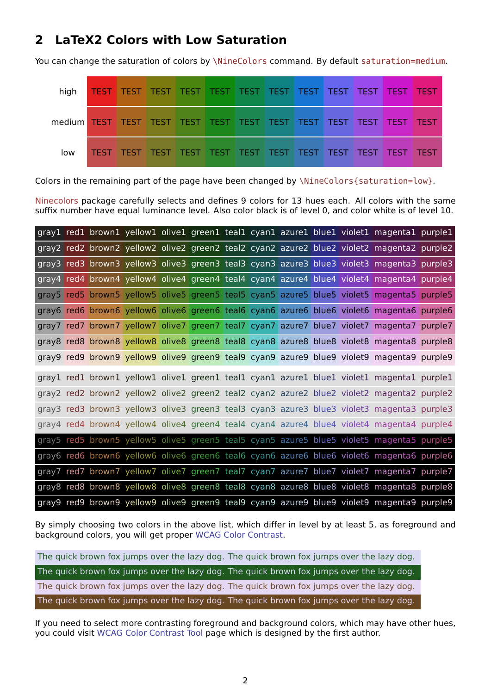### **2 LaTeX2 Colors with Low Saturation**

You can change the saturation of colors by \NineColors command. By default saturation=medium.

| high |  |  |  |  |  |  |
|------|--|--|--|--|--|--|
|      |  |  |  |  |  |  |
| low  |  |  |  |  |  |  |

Colors in the remaining part of the page have been changed by \NineColors{saturation=low}.

Ninecolors package carefully selects and defines 9 colors for 13 hues each. All colors with the same suffix number have equal luminance level. Also color black is of level 0, and color white is of level 10.

|  |  |  |  |  | gray1 red1 brown1 yellow1 olive1 green1 teal1 cyan1 azure1 blue1 violet1 magenta1 purple1 |  |
|--|--|--|--|--|-------------------------------------------------------------------------------------------|--|
|  |  |  |  |  | gray2 red2 brown2 yellow2 olive2 green2 teal2 cyan2 azure2 blue2 violet2 magenta2 purple2 |  |
|  |  |  |  |  | gray3 red3 brown3 yellow3 olive3 green3 teal3 cyan3 azure3 blue3 violet3 magenta3 purple3 |  |
|  |  |  |  |  | gray4 red4 brown4 yellow4 olive4 green4 teal4 cyan4 azure4 blue4 violet4 magenta4 purple4 |  |
|  |  |  |  |  | gray5 red5 brown5 yellow5 olive5 green5 teal5 cyan5 azure5 blue5 violet5 magenta5 purple5 |  |
|  |  |  |  |  | gray6 red6 brown6 yellow6 olive6 green6 teal6 cyan6 azure6 blue6 violet6 magenta6 purple6 |  |
|  |  |  |  |  | gray7 red7 brown7 yellow7 olive7 green7 teal7 cyan7 azure7 blue7 violet7 magenta7 purple7 |  |
|  |  |  |  |  | gray8 red8 brown8 yellow8 olive8 green8 teal8 cyan8 azure8 blue8 violet8 magenta8 purple8 |  |
|  |  |  |  |  | gray9 red9 brown9 yellow9 olive9 green9 teal9 cyan9 azure9 blue9 violet9 magenta9 purple9 |  |
|  |  |  |  |  | gray1 red1 brown1 yellow1 olive1 green1 teal1 cyan1 azure1 blue1 violet1 magenta1 purple1 |  |
|  |  |  |  |  | gray2 red2 brown2 yellow2 olive2 green2 teal2 cyan2 azure2 blue2 violet2 magenta2 purple2 |  |
|  |  |  |  |  | gray3 red3 brown3 yellow3 olive3 green3 teal3 cyan3 azure3 blue3 violet3 magenta3 purple3 |  |
|  |  |  |  |  | gray4 red4 brown4 yellow4 olive4 green4 teal4 cyan4 azure4 blue4 violet4 magenta4 purple4 |  |
|  |  |  |  |  | gray5 red5 brown5 yellow5 olive5 green5 teal5 cyan5 azure5 blue5 violet5 magenta5 purple5 |  |
|  |  |  |  |  | gray6 red6 brown6 yellow6 olive6 green6 teal6 cyan6 azure6 blue6 violet6 magenta6 purple6 |  |
|  |  |  |  |  | gray7 red7 brown7 yellow7 olive7 green7 teal7 cyan7 azure7 blue7 violet7 magenta7 purple7 |  |
|  |  |  |  |  | gray8 red8 brown8 yellow8 olive8 green8 teal8 cyan8 azure8 blue8 violet8 magenta8 purple8 |  |
|  |  |  |  |  | gray9 red9 brown9 yellow9 olive9 green9 teal9 cyan9 azure9 blue9 violet9 magenta9 purple9 |  |

By simply choosing two colors in the above list, which differ in level by at least 5, as foreground and background colors, you will get proper WCAG Color Contrast.

The quick brown fox jumps over the lazy dog. The quick brown fox jumps over the lazy dog. The quick brown fox jumps over the la[zy dog. The quick bro](https://www.w3.org/WAI/WCAG21/Understanding/contrast-minimum.html)wn fox jumps over the lazy dog. The quick brown fox jumps over the lazy dog. The quick brown fox jumps over the lazy dog. The quick brown fox jumps over the lazy dog. The quick brown fox jumps over the lazy dog.

If you need to select more contrasting foreground and background colors, which may have other hues, you could visit WCAG Color Contrast Tool page which is designed by the first author.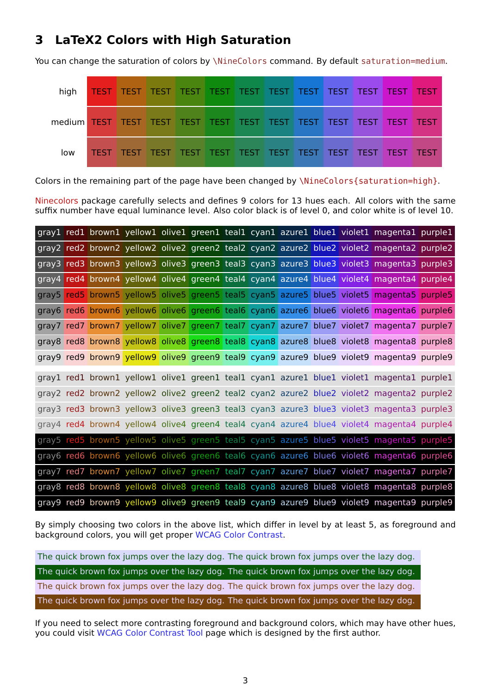#### **3 LaTeX2 Colors with High Saturation**

You can change the saturation of colors by \NineColors command. By default saturation=medium.

| high |  |  |  |  |  |  |
|------|--|--|--|--|--|--|
|      |  |  |  |  |  |  |
| low  |  |  |  |  |  |  |

Colors in the remaining part of the page have been changed by \NineColors{saturation=high}.

Ninecolors package carefully selects and defines 9 colors for 13 hues each. All colors with the same suffix number have equal luminance level. Also color black is of level 0, and color white is of level 10.

|  |  |  |  |  | gray1 red1 brown1 yellow1 olive1 green1 teal1 cyan1 azure1 blue1 violet1 magenta1 purple1 |  |
|--|--|--|--|--|-------------------------------------------------------------------------------------------|--|
|  |  |  |  |  | gray2 red2 brown2 yellow2 olive2 green2 teal2 cyan2 azure2 blue2 violet2 magenta2 purple2 |  |
|  |  |  |  |  | gray3 red3 brown3 yellow3 olive3 green3 teal3 cyan3 azure3 blue3 violet3 magenta3 purple3 |  |
|  |  |  |  |  | gray4 red4 brown4 yellow4 olive4 green4 teal4 cyan4 azure4 blue4 violet4 magenta4 purple4 |  |
|  |  |  |  |  | gray5 red5 brown5 yellow5 olive5 green5 teal5 cyan5 azure5 blue5 violet5 magenta5 purple5 |  |
|  |  |  |  |  | gray6 red6 brown6 yellow6 olive6 green6 teal6 cyan6 azure6 blue6 violet6 magenta6 purple6 |  |
|  |  |  |  |  | gray7 red7 brown7 yellow7 olive7 green7 teal7 cyan7 azure7 blue7 violet7 magenta7 purple7 |  |
|  |  |  |  |  | gray8 red8 brown8 yellow8 olive8 green8 teal8 cyan8 azure8 blue8 violet8 magenta8 purple8 |  |
|  |  |  |  |  | gray9 red9 brown9 yellow9 olive9 green9 teal9 cyan9 azure9 blue9 violet9 magenta9 purple9 |  |
|  |  |  |  |  | gray1 red1 brown1 yellow1 olive1 green1 teal1 cyan1 azure1 blue1 violet1 magenta1 purple1 |  |
|  |  |  |  |  | gray2 red2 brown2 yellow2 olive2 green2 teal2 cyan2 azure2 blue2 violet2 magenta2 purple2 |  |
|  |  |  |  |  | gray3 red3 brown3 yellow3 olive3 green3 teal3 cyan3 azure3 blue3 violet3 magenta3 purple3 |  |
|  |  |  |  |  | gray4 red4 brown4 yellow4 olive4 green4 teal4 cyan4 azure4 blue4 violet4 magenta4 purple4 |  |
|  |  |  |  |  | gray5 red5 brown5 yellow5 olive5 green5 teal5 cyan5 azure5 blue5 violet5 magenta5 purple5 |  |
|  |  |  |  |  | gray6 red6 brown6 yellow6 olive6 green6 teal6 cyan6 azure6 blue6 violet6 magenta6 purple6 |  |
|  |  |  |  |  | gray7 red7 brown7 yellow7 olive7 green7 teal7 cyan7 azure7 blue7 violet7 magenta7 purple7 |  |
|  |  |  |  |  | gray8 red8 brown8 yellow8 olive8 green8 teal8 cyan8 azure8 blue8 violet8 magenta8 purple8 |  |
|  |  |  |  |  | gray9 red9 brown9 yellow9 olive9 green9 teal9 cyan9 azure9 blue9 violet9 magenta9 purple9 |  |

By simply choosing two colors in the above list, which differ in level by at least 5, as foreground and background colors, you will get proper WCAG Color Contrast.

The quick brown fox jumps over the lazy dog. The quick brown fox jumps over the lazy dog. The quick brown fox jumps over the la[zy dog. The quick bro](https://www.w3.org/WAI/WCAG21/Understanding/contrast-minimum.html)wn fox jumps over the lazy dog. The quick brown fox jumps over the lazy dog. The quick brown fox jumps over the lazy dog. The quick brown fox jumps over the lazy dog. The quick brown fox jumps over the lazy dog.

If you need to select more contrasting foreground and background colors, which may have other hues, you could visit WCAG Color Contrast Tool page which is designed by the first author.